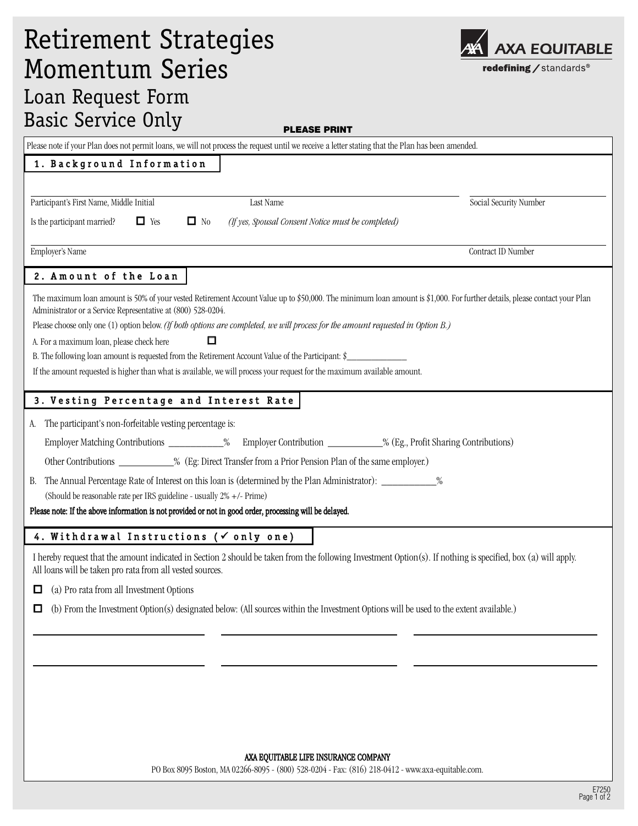| <b>Momentum Series</b>                                                                                                                                                                          | redefining / standards® |  |
|-------------------------------------------------------------------------------------------------------------------------------------------------------------------------------------------------|-------------------------|--|
| Loan Request Form                                                                                                                                                                               |                         |  |
| <b>Basic Service Only</b>                                                                                                                                                                       |                         |  |
| <b>PLEASE PRINT</b>                                                                                                                                                                             |                         |  |
| Please note if your Plan does not permit loans, we will not process the request until we receive a letter stating that the Plan has been amended.                                               |                         |  |
| 1. Background Information                                                                                                                                                                       |                         |  |
| Participant's First Name, Middle Initial<br>Last Name                                                                                                                                           | Social Security Number  |  |
| $\Box$ No<br>Is the participant married?<br>$\Box$ Yes<br>(If yes, Spousal Consent Notice must be completed)                                                                                    |                         |  |
|                                                                                                                                                                                                 |                         |  |
| Employer's Name                                                                                                                                                                                 | Contract ID Number      |  |
| 2. Amount of the Loan                                                                                                                                                                           |                         |  |
| The maximum loan amount is 50% of your vested Retirement Account Value up to \$50,000. The minimum loan amount is \$1,000. For further details, please contact your Plan                        |                         |  |
| Administrator or a Service Representative at (800) 528-0204.<br>Please choose only one (1) option below. (If both options are completed, we will process for the amount requested in Option B.) |                         |  |
| A. For a maximum loan, please check here                                                                                                                                                        |                         |  |
| B. The following loan amount is requested from the Retirement Account Value of the Participant: \$                                                                                              |                         |  |
| If the amount requested is higher than what is available, we will process your request for the maximum available amount.                                                                        |                         |  |
| 3. Vesting Percentage and Interest Rate                                                                                                                                                         |                         |  |
| The participant's non-forfeitable vesting percentage is:<br>А.                                                                                                                                  |                         |  |
| Employer Matching Contributions _____________% Employer Contribution ___________% (Eg., Profit Sharing Contributions)                                                                           |                         |  |
| Other Contributions ____________% (Eg: Direct Transfer from a Prior Pension Plan of the same employer.)                                                                                         |                         |  |
| The Annual Percentage Rate of Interest on this loan is (determined by the Plan Administrator): ___________%<br>В.                                                                               |                         |  |
| (Should be reasonable rate per IRS guideline - usually 2% +/- Prime)                                                                                                                            |                         |  |
| Please note: If the above information is not provided or not in good order, processing will be delayed.                                                                                         |                         |  |
| 4. Withdrawal Instructions ( $\checkmark$ only one)                                                                                                                                             |                         |  |
| I hereby request that the amount indicated in Section 2 should be taken from the following Investment Option(s). If nothing is specified, box (a) will apply.                                   |                         |  |
| All loans will be taken pro rata from all vested sources.                                                                                                                                       |                         |  |
| (a) Pro rata from all Investment Options<br>□                                                                                                                                                   |                         |  |
| (b) From the Investment Option(s) designated below: (All sources within the Investment Options will be used to the extent available.)<br>□                                                      |                         |  |
|                                                                                                                                                                                                 |                         |  |
|                                                                                                                                                                                                 |                         |  |
|                                                                                                                                                                                                 |                         |  |
|                                                                                                                                                                                                 |                         |  |
|                                                                                                                                                                                                 |                         |  |
|                                                                                                                                                                                                 |                         |  |

Retirement Strategies

## AXA EQUITABLE LIFE INSURANCE COMPANY

PO Box 8095 Boston, MA 02266-8095 - (800) 528-0204 - Fax: (816) 218-0412 - www.axa-equitable.com.

AXA AXA EQUITABLE